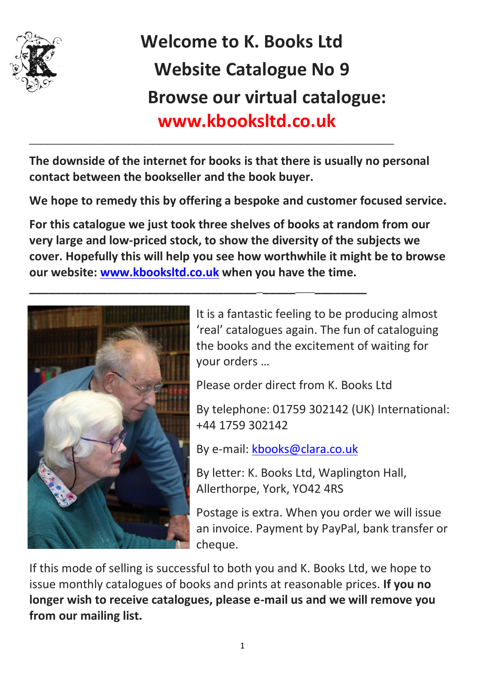

## **Welcome to K. Books Ltd Website Catalogue No 9 Browse our virtual catalogue: www.kbooksltd.co.uk**

**The downside of the internet for books is that there is usually no personal contact between the bookseller and the book buyer.** 

\_\_\_\_\_\_\_\_\_\_\_\_\_\_\_\_\_\_\_\_\_\_\_\_\_\_\_\_\_\_\_\_\_\_\_\_\_\_\_\_\_\_\_\_\_\_\_\_\_\_\_\_\_\_\_\_\_\_\_\_\_\_

**\_\_\_\_\_\_\_\_\_\_\_\_\_\_\_\_\_\_\_\_\_\_\_\_\_\_\_\_\_\_\_\_\_\_\_\_\_\_\_\_\_\_\_\_\_\_\_\_\_\_\_\_\_\_\_\_**

**We hope to remedy this by offering a bespoke and customer focused service.** 

**For this catalogue we just took three shelves of books at random from our very large and low-priced stock, to show the diversity of the subjects we cover. Hopefully this will help you see how worthwhile it might be to browse our website: [www.kbooksltd.co.uk](http://www.kbooksltd.co.uk/) when you have the time.** 



It is a fantastic feeling to be producing almost 'real' catalogues again. The fun of cataloguing the books and the excitement of waiting for your orders …

Please order direct from K. Books Ltd

By telephone: 01759 302142 (UK) International: +44 1759 302142

By e-mail: [kbooks@clara.co.uk](mailto:kbooks@clara.co.uk)

By letter: K. Books Ltd, Waplington Hall, Allerthorpe, York, YO42 4RS

Postage is extra. When you order we will issue an invoice. Payment by PayPal, bank transfer or cheque.

If this mode of selling is successful to both you and K. Books Ltd, we hope to issue monthly catalogues of books and prints at reasonable prices. **If you no longer wish to receive catalogues, please e-mail us and we will remove you from our mailing list.**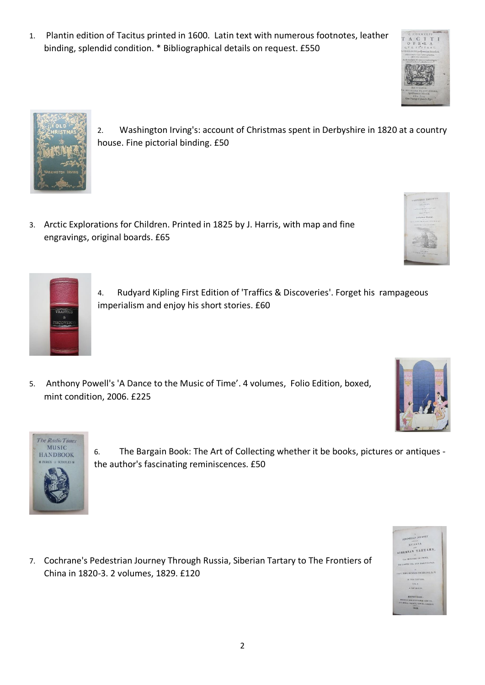1. Plantin edition of Tacitus printed in 1600. Latin text with numerous footnotes, leather binding, splendid condition. \* Bibliographical details on request. £550

3. Arctic Explorations for Children. Printed in 1825 by J. Harris, with map and fine engravings, original boards. £65

house. Fine pictorial binding. £50

- 4. Rudyard Kipling First Edition of 'Traffics & Discoveries'. Forget his rampageous imperialism and enjoy his short stories. £60
- 5. Anthony Powell's 'A Dance to the Music of Time'. 4 volumes, Folio Edition, boxed, mint condition, 2006. £225
- **MUSIC** 6. The Bargain Book: The Art of Collecting whether it be books, pictures or antiques - **HANDBOOK**
- 7. Cochrane's Pedestrian Journey Through Russia, Siberian Tartary to The Frontiers of China in 1820-3. 2 volumes, 1829. £120



 $n$  and  $\Lambda$ BERIAN TARTARY







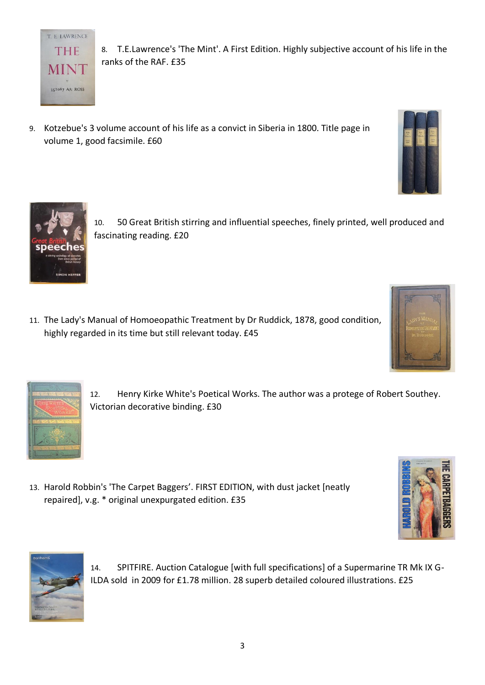

8. T.E.Lawrence's 'The Mint'. A First Edition. Highly subjective account of his life in the ranks of the RAF. £35

9. Kotzebue's 3 volume account of his life as a convict in Siberia in 1800. Title page in volume 1, good facsimile. £60





10. 50 Great British stirring and influential speeches, finely printed, well produced and fascinating reading. £20

11. The Lady's Manual of Homoeopathic Treatment by Dr Ruddick, 1878, good condition, highly regarded in its time but still relevant today. £45





- 12. Henry Kirke White's Poetical Works. The author was a protege of Robert Southey. Victorian decorative binding. £30
- 13. Harold Robbin's 'The Carpet Baggers'. FIRST EDITION, with dust jacket [neatly repaired], v.g. \* original unexpurgated edition. £35





14. SPITFIRE. Auction Catalogue [with full specifications] of a Supermarine TR Mk IX G-ILDA sold in 2009 for £1.78 million. 28 superb detailed coloured illustrations. £25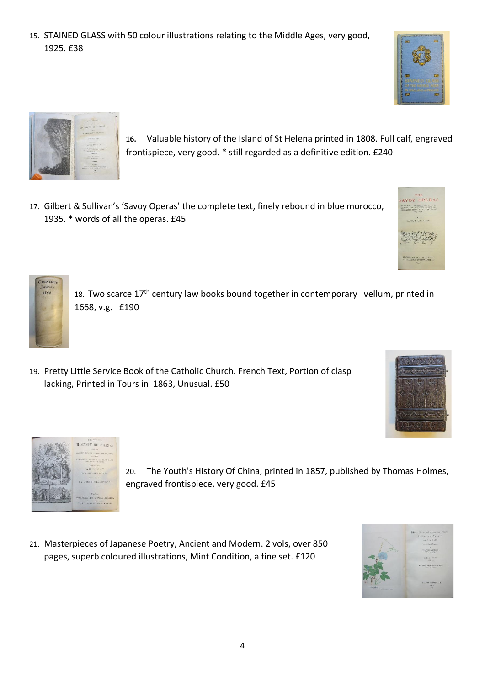4

21. Masterpieces of Japanese Poetry, Ancient and Modern. 2 vols, over 850

pages, superb coloured illustrations, Mint Condition, a fine set. £120

engraved frontispiece, very good. £45

- 18. Two scarce  $17<sup>th</sup>$  century law books bound together in contemporary vellum, printed in 1668, v.g. £190
- 19. Pretty Little Service Book of the Catholic Church. French Text, Portion of clasp

15. STAINED GLASS with 50 colour illustrations relating to the Middle Ages, very good,

- 
- lacking, Printed in Tours in 1863, Unusual. £50





1925. £38



**16.** Valuable history of the Island of St Helena printed in 1808. Full calf, engraved frontispiece, very good. \* still regarded as a definitive edition. £240

20. The Youth's History Of China, printed in 1857, published by Thomas Holmes,







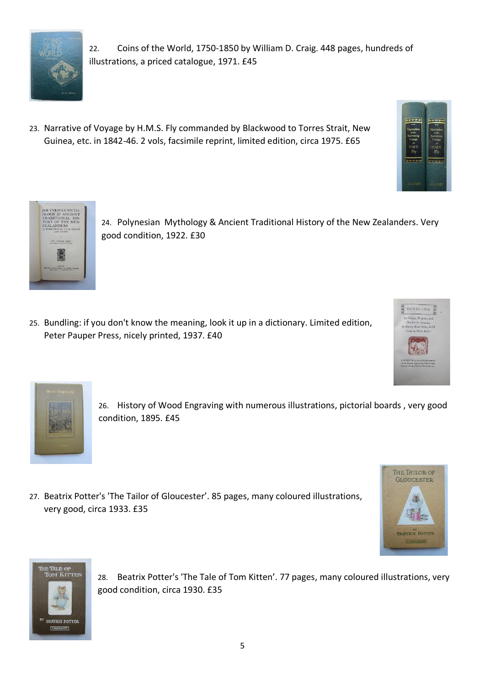

22. Coins of the World, 1750-1850 by William D. Craig. 448 pages, hundreds of illustrations, a priced catalogue, 1971. £45

23. Narrative of Voyage by H.M.S. Fly commanded by Blackwood to Torres Strait, New Guinea, etc. in 1842-46. 2 vols, facsimile reprint, limited edition, circa 1975. £65





24. Polynesian Mythology & Ancient Traditional History of the New Zealanders. Very good condition, 1922. £30

25. Bundling: if you don't know the meaning, look it up in a dictionary. Limited edition, Peter Pauper Press, nicely printed, 1937. £40





26. History of Wood Engraving with numerous illustrations, pictorial boards , very good condition, 1895. £45

27. Beatrix Potter's 'The Tailor of Gloucester'. 85 pages, many coloured illustrations, very good, circa 1933. £35





28. Beatrix Potter's 'The Tale of Tom Kitten'. 77 pages, many coloured illustrations, very good condition, circa 1930. £35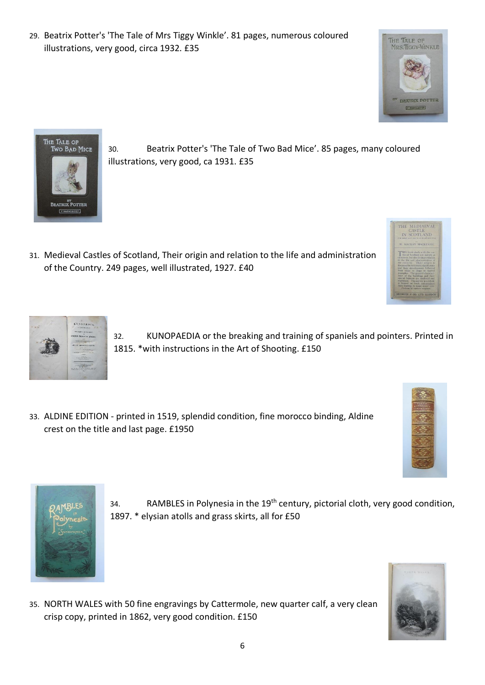- - 33. ALDINE EDITION printed in 1519, splendid condition, fine morocco binding, Aldine crest on the title and last page. £1950
- 
- 

31. Medieval Castles of Scotland, Their origin and relation to the life and administration

32. KUNOPAEDIA or the breaking and training of spaniels and pointers. Printed in 1815. \*with instructions in the Art of Shooting. £150

1897. \* elysian atolls and grass skirts, all for £50

34. RAMBLES in Polynesia in the  $19<sup>th</sup>$  century, pictorial cloth, very good condition,

35. NORTH WALES with 50 fine engravings by Cattermole, new quarter calf, a very clean crisp copy, printed in 1862, very good condition. £150

29. Beatrix Potter's 'The Tale of Mrs Tiggy Winkle'. 81 pages, numerous coloured illustrations, very good, circa 1932. £35

illustrations, very good, ca 1931. £35





The Tale of<br>Two Bad Mice

<sup>by</sup><br>Beatrix Potter F.WARNE&CHEP





THE TALE OF MRS. TIGGY-WINKLE





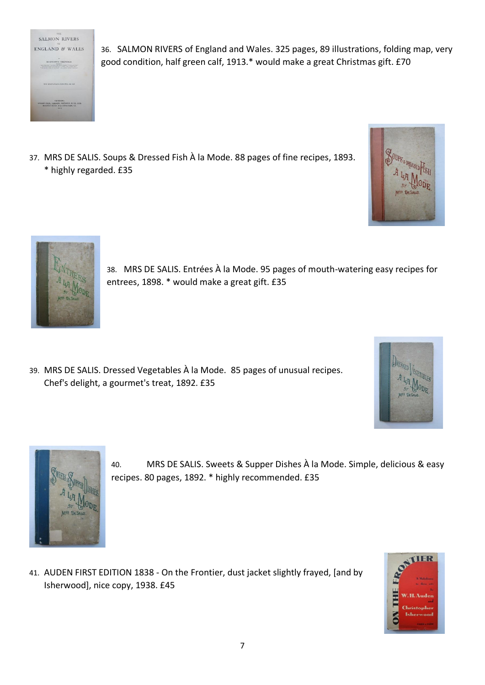

36. SALMON RIVERS of England and Wales. 325 pages, 89 illustrations, folding map, very good condition, half green calf, 1913.\* would make a great Christmas gift. £70

37. MRS DE SALIS. Soups & Dressed Fish À la Mode. 88 pages of fine recipes, 1893. \* highly regarded. £35





38. MRS DE SALIS. Entrées À la Mode. 95 pages of mouth-watering easy recipes for entrees, 1898. \* would make a great gift. £35

39. MRS DE SALIS. Dressed Vegetables À la Mode. 85 pages of unusual recipes. Chef's delight, a gourmet's treat, 1892. £35





40. MRS DE SALIS. Sweets & Supper Dishes À la Mode. Simple, delicious & easy recipes. 80 pages, 1892. \* highly recommended. £35

41. AUDEN FIRST EDITION 1838 - On the Frontier, dust jacket slightly frayed, [and by Isherwood], nice copy, 1938. £45

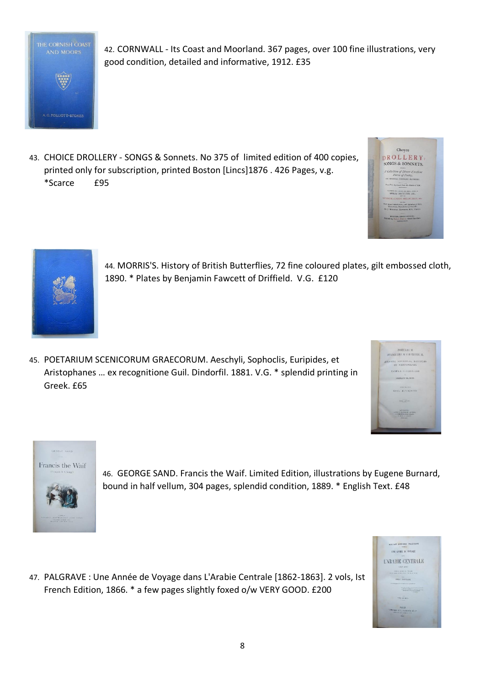

42. CORNWALL - Its Coast and Moorland. 367 pages, over 100 fine illustrations, very good condition, detailed and informative, 1912. £35

43. CHOICE DROLLERY - SONGS & Sonnets. No 375 of limited edition of 400 copies, printed only for subscription, printed Boston [Lincs]1876 . 426 Pages, v.g. \*Scarce £95





44. MORRIS'S. History of British Butterflies, 72 fine coloured plates, gilt embossed cloth, 1890. \* Plates by Benjamin Fawcett of Driffield. V.G. £120

45. POETARIUM SCENICORUM GRAECORUM. Aeschyli, Sophoclis, Euripides, et Aristophanes … ex recognitione Guil. Dindorfil. 1881. V.G. \* splendid printing in Greek. £65





46. GEORGE SAND. Francis the Waif. Limited Edition, illustrations by Eugene Burnard, bound in half vellum, 304 pages, splendid condition, 1889. \* English Text. £48

47. PALGRAVE : Une Année de Voyage dans L'Arabie Centrale [1862-1863]. 2 vols, Ist French Edition, 1866. \* a few pages slightly foxed o/w VERY GOOD. £200